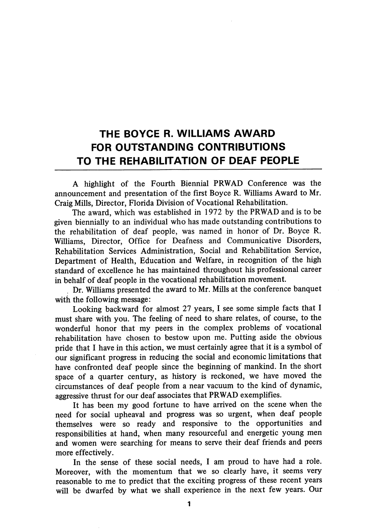## THE BOYCE R. WILLIAMS AWARD FOR OUTSTANDING CONTRIBUTIONS TO THE REHABILITATION OF DEAF PEOPLE

A highlight of the Fourth Biennial PRWAD Conference was the announcement and presentation of the first Boyce R. Williams Award to Mr. Craig Mills, Director, Florida Division of Vocational Rehabilitation.

The award, which was established in 1972 by the PRWAD and is to be given biennially to an individual who has made outstanding contributions to the rehabilitation of deaf people, was named in honor of Dr. Boyce R. Williams, Director, Office for Deafness and Communicative Disorders, Rehabilitation Services Administration, Social and Rehabilitation Service, Department of Health, Education and Welfare, in recognition of the high standard of excellence he has maintained throughout his professional career in behalf of deaf people in the vocational rehabilitation movement.

Dr. Williams presented the award to Mr. Mills at the conference banquet with the following message:

Looking backward for almost 27 years, I see some simple facts that I must share with you. The feeling of need to share relates, of course, to the wonderful honor that my peers in the complex problems of vocational rehabilitation have chosen to bestow upon me. Putting aside the obvious pride that I have in this action, we must certainly agree that it is a symbol of our significant progress in reducing the social and economic limitations that have confronted deaf people since the beginning of mankind. In the short space of a quarter century, as history is reckoned, we have moved the circumstances of deaf people from a near vacuum to the kind of dynamic, aggressive thrust for our deaf associates that PRWAD exemplifies.

It has been my good fortune to have arrived on the scene when the need for social upheaval and progress was so urgent, when deaf people themselves were so ready and responsive to the opportunities and responsibilities at hand, when many resourceful and energetic young men and women were searching for means to serve their deaf friends and peers more effectively.

In the sense of these social needs, I am proud to have had a role. Moreover, with the momentum that we so clearly have, it seems very reasonable to me to predict that the exciting progress of these recent years will be dwarfed by what we shall experience in the next few years. Our